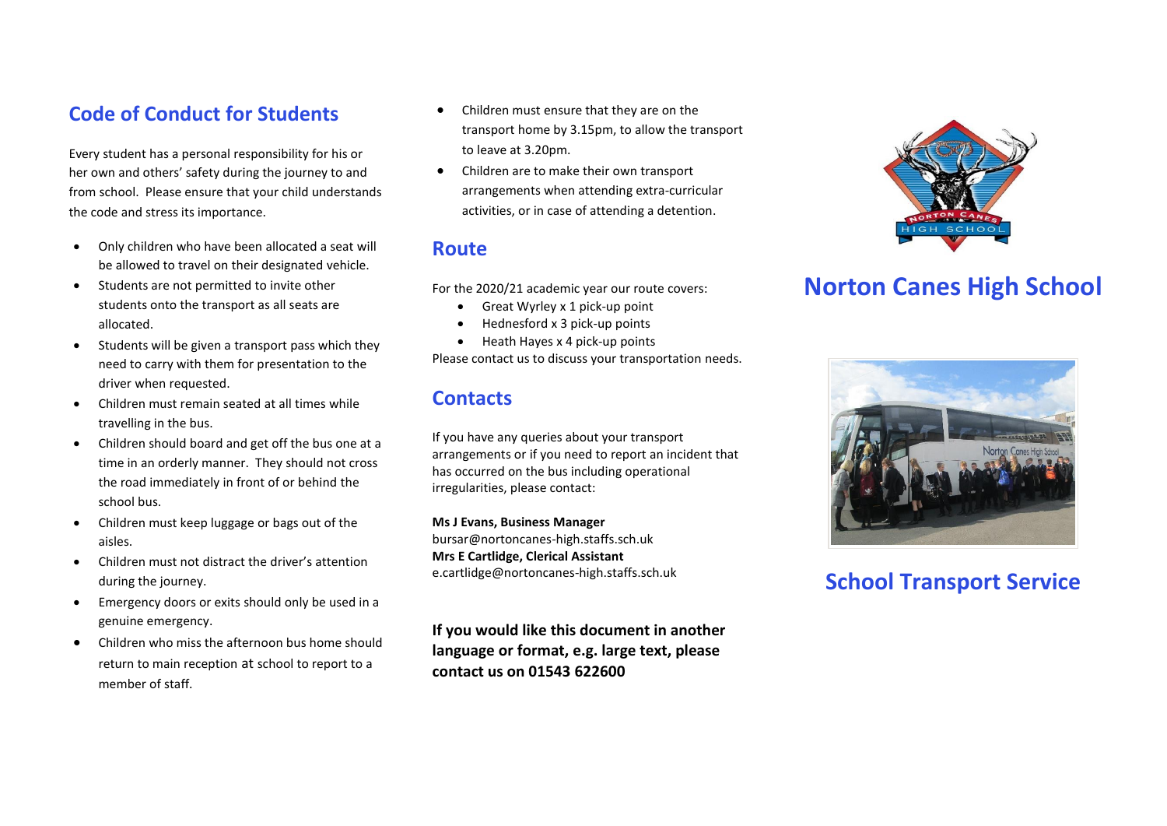#### **Code of Conduct for Students**

Every student has a personal responsibility for his or her own and others' safety during the journey to and from school. Please ensure that your child understands the code and stress its importance.

- Only children who have been allocated a seat will be allowed to travel on their designated vehicle.
- Students are not permitted to invite other students onto the transport as all seats are allocated.
- $\bullet$  Students will be given a transport pass which they need to carry with them for presentation to the driver when requested.
- Children must remain seated at all times while travelling in the bus.
- Children should board and get off the bus one at a time in an orderly manner. They should not cross the road immediately in front of or behind the school bus.
- Children must keep luggage or bags out of the aisles.
- Children must not distract the driver's attention during the journey.
- Emergency doors or exits should only be used in a genuine emergency.
- Children who miss the afternoon bus home should return to main reception at school to report to a member of staff.
- Children must ensure that they are on the transport home by 3.15pm, to allow the transport to leave at 3.20pm.
- Children are to make their own transport arrangements when attending extra-curricular activities, or in case of attending a detention.

#### **Route**

For the 2020/21 academic year our route covers:

- Great Wyrley x 1 pick-up point
- $\bullet$  Hednesford x 3 pick-up points
- $\bullet$  Heath Hayes x 4 pick-up points

Please contact us to discuss your transportation needs.

#### **Contacts**

If you have any queries about your transport arrangements or if you need to report an incident that has occurred on the bus including operational irregularities, please contact:

**Ms J Evans, Business Manager** bursar@nortoncanes-high.staffs.sch.uk **Mrs E Cartlidge, Clerical Assistant**  e.cartlidge@nortoncanes-high.staffs.sch.uk

**If you would like this document in another language or format, e.g. large text, please contact us on 01543 622600**



# **Norton Canes High School**



## **School Transport Service**